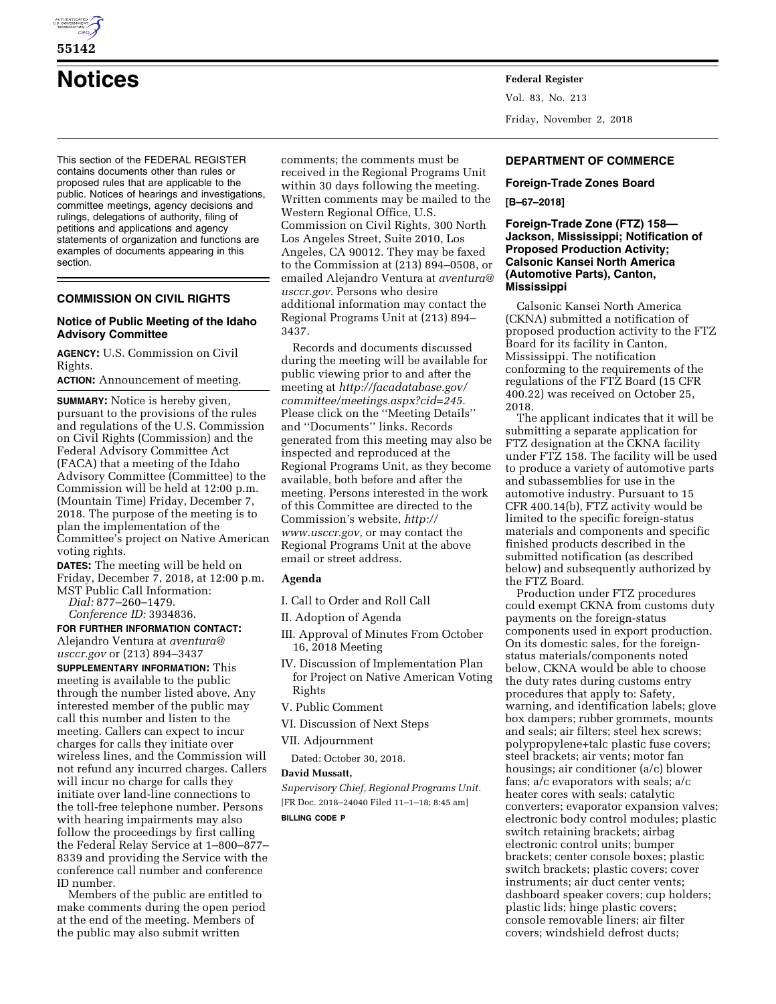

# **Notices Federal Register**

This section of the FEDERAL REGISTER contains documents other than rules or proposed rules that are applicable to the public. Notices of hearings and investigations, committee meetings, agency decisions and rulings, delegations of authority, filing of petitions and applications and agency statements of organization and functions are examples of documents appearing in this section.

# **COMMISSION ON CIVIL RIGHTS**

# **Notice of Public Meeting of the Idaho Advisory Committee**

**AGENCY:** U.S. Commission on Civil Rights.

**ACTION:** Announcement of meeting.

**SUMMARY:** Notice is hereby given, pursuant to the provisions of the rules and regulations of the U.S. Commission on Civil Rights (Commission) and the Federal Advisory Committee Act (FACA) that a meeting of the Idaho Advisory Committee (Committee) to the Commission will be held at 12:00 p.m. (Mountain Time) Friday, December 7, 2018. The purpose of the meeting is to plan the implementation of the Committee's project on Native American voting rights.

**DATES:** The meeting will be held on Friday, December 7, 2018, at 12:00 p.m. MST Public Call Information:

*Dial:* 877–260–1479.

*Conference ID:* 3934836.

**FOR FURTHER INFORMATION CONTACT:**  Alejandro Ventura at *[aventura@](mailto:aventura@usccr.gov)*

*[usccr.gov](mailto:aventura@usccr.gov)* or (213) 894–3437 **SUPPLEMENTARY INFORMATION:** This meeting is available to the public through the number listed above. Any interested member of the public may call this number and listen to the meeting. Callers can expect to incur charges for calls they initiate over wireless lines, and the Commission will not refund any incurred charges. Callers will incur no charge for calls they initiate over land-line connections to the toll-free telephone number. Persons with hearing impairments may also follow the proceedings by first calling the Federal Relay Service at 1–800–877– 8339 and providing the Service with the conference call number and conference ID number.

Members of the public are entitled to make comments during the open period at the end of the meeting. Members of the public may also submit written

comments; the comments must be received in the Regional Programs Unit within 30 days following the meeting. Written comments may be mailed to the Western Regional Office, U.S. Commission on Civil Rights, 300 North Los Angeles Street, Suite 2010, Los Angeles, CA 90012. They may be faxed to the Commission at (213) 894–0508, or emailed Alejandro Ventura at *[aventura@](mailto:aventura@usccr.gov) [usccr.gov.](mailto:aventura@usccr.gov)* Persons who desire additional information may contact the Regional Programs Unit at (213) 894– 3437.

Records and documents discussed during the meeting will be available for public viewing prior to and after the meeting at *[http://facadatabase.gov/](http://facadatabase.gov/committee/meetings.aspx?cid=245)  [committee/meetings.aspx?cid=245.](http://facadatabase.gov/committee/meetings.aspx?cid=245)*  Please click on the ''Meeting Details'' and ''Documents'' links. Records generated from this meeting may also be inspected and reproduced at the Regional Programs Unit, as they become available, both before and after the meeting. Persons interested in the work of this Committee are directed to the Commission's website, *[http://](http://www.usccr.gov) [www.usccr.gov,](http://www.usccr.gov)* or may contact the Regional Programs Unit at the above email or street address.

## **Agenda**

- I. Call to Order and Roll Call
- II. Adoption of Agenda
- III. Approval of Minutes From October 16, 2018 Meeting
- IV. Discussion of Implementation Plan for Project on Native American Voting Rights
- V. Public Comment
- VI. Discussion of Next Steps
- VII. Adjournment

Dated: October 30, 2018.

#### **David Mussatt,**

*Supervisory Chief, Regional Programs Unit.*  [FR Doc. 2018–24040 Filed 11–1–18; 8:45 am] **BILLING CODE P** 

Vol. 83, No. 213 Friday, November 2, 2018

# **DEPARTMENT OF COMMERCE**

# **Foreign-Trade Zones Board [B–67–2018]**

## **Foreign-Trade Zone (FTZ) 158— Jackson, Mississippi; Notification of Proposed Production Activity; Calsonic Kansei North America (Automotive Parts), Canton, Mississippi**

Calsonic Kansei North America (CKNA) submitted a notification of proposed production activity to the FTZ Board for its facility in Canton, Mississippi. The notification conforming to the requirements of the regulations of the FTZ Board (15 CFR 400.22) was received on October 25, 2018.

The applicant indicates that it will be submitting a separate application for FTZ designation at the CKNA facility under FTZ 158. The facility will be used to produce a variety of automotive parts and subassemblies for use in the automotive industry. Pursuant to 15 CFR 400.14(b), FTZ activity would be limited to the specific foreign-status materials and components and specific finished products described in the submitted notification (as described below) and subsequently authorized by the FTZ Board.

Production under FTZ procedures could exempt CKNA from customs duty payments on the foreign-status components used in export production. On its domestic sales, for the foreignstatus materials/components noted below, CKNA would be able to choose the duty rates during customs entry procedures that apply to: Safety, warning, and identification labels; glove box dampers; rubber grommets, mounts and seals; air filters; steel hex screws; polypropylene+talc plastic fuse covers; steel brackets; air vents; motor fan housings; air conditioner (a/c) blower fans; a/c evaporators with seals; a/c heater cores with seals; catalytic converters; evaporator expansion valves; electronic body control modules; plastic switch retaining brackets; airbag electronic control units; bumper brackets; center console boxes; plastic switch brackets; plastic covers; cover instruments; air duct center vents; dashboard speaker covers; cup holders; plastic lids; hinge plastic covers; console removable liners; air filter covers; windshield defrost ducts;